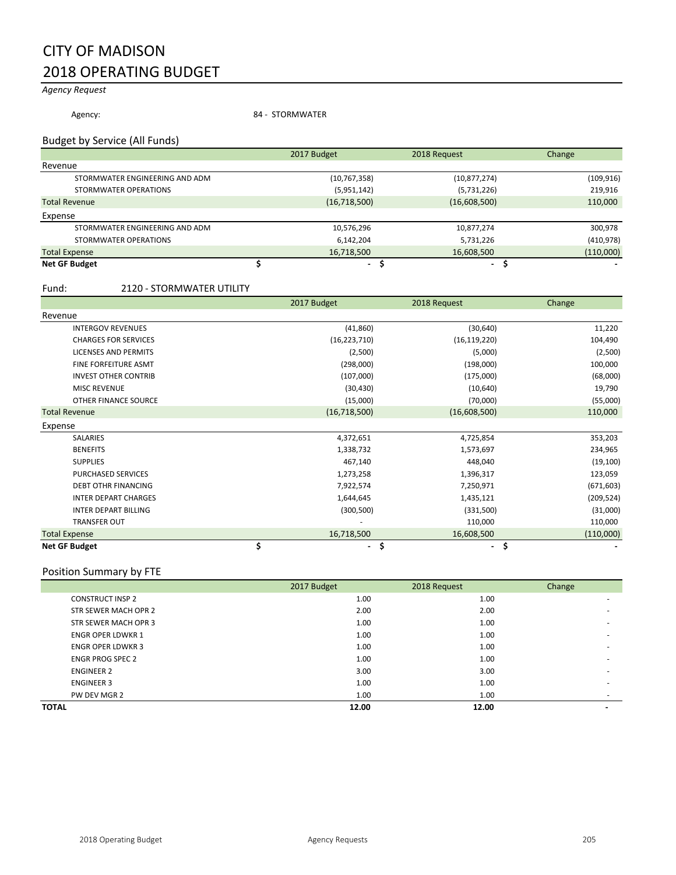# CITY OF MADISON 2018 OPERATING BUDGET

# *Agency Request*

Agency: 34 - STORMWATER

### Budget by Service (All Funds)

|                                | 2017 Budget    | 2018 Request   | Change     |
|--------------------------------|----------------|----------------|------------|
| Revenue                        |                |                |            |
| STORMWATER ENGINEERING AND ADM | (10, 767, 358) | (10, 877, 274) | (109, 916) |
| STORMWATER OPERATIONS          | (5,951,142)    | (5,731,226)    | 219,916    |
| <b>Total Revenue</b>           | (16,718,500)   | (16,608,500)   | 110,000    |
| Expense                        |                |                |            |
| STORMWATER ENGINEERING AND ADM | 10,576,296     | 10,877,274     | 300,978    |
| STORMWATER OPERATIONS          | 6,142,204      | 5,731,226      | (410, 978) |
| <b>Total Expense</b>           | 16,718,500     | 16,608,500     | (110,000)  |
| <b>Net GF Budget</b>           | ۰.             | ۰.             |            |

#### Fund: 2120 - STORMWATER UTILITY

|                             | 2017 Budget          | 2018 Request                   | Change     |
|-----------------------------|----------------------|--------------------------------|------------|
| Revenue                     |                      |                                |            |
| <b>INTERGOV REVENUES</b>    | (41, 860)            | (30, 640)                      | 11,220     |
| <b>CHARGES FOR SERVICES</b> | (16, 223, 710)       | (16, 119, 220)                 | 104,490    |
| <b>LICENSES AND PERMITS</b> | (2,500)              | (5,000)                        | (2,500)    |
| FINE FORFEITURE ASMT        | (298,000)            | (198,000)                      | 100,000    |
| <b>INVEST OTHER CONTRIB</b> | (107,000)            | (175,000)                      | (68,000)   |
| <b>MISC REVENUE</b>         | (30, 430)            | (10,640)                       | 19,790     |
| OTHER FINANCE SOURCE        | (15,000)             | (70,000)                       | (55,000)   |
| <b>Total Revenue</b>        | (16,718,500)         | (16,608,500)                   | 110,000    |
| Expense                     |                      |                                |            |
| <b>SALARIES</b>             | 4,372,651            | 4,725,854                      | 353,203    |
| <b>BENEFITS</b>             | 1,338,732            | 1,573,697                      | 234,965    |
| <b>SUPPLIES</b>             | 467,140              | 448,040                        | (19, 100)  |
| PURCHASED SERVICES          | 1,273,258            | 1,396,317                      | 123,059    |
| <b>DEBT OTHR FINANCING</b>  | 7,922,574            | 7,250,971                      | (671, 603) |
| <b>INTER DEPART CHARGES</b> | 1,644,645            | 1,435,121                      | (209, 524) |
| <b>INTER DEPART BILLING</b> | (300, 500)           | (331,500)                      | (31,000)   |
| <b>TRANSFER OUT</b>         |                      | 110,000                        | 110,000    |
| <b>Total Expense</b>        | 16,718,500           | 16,608,500                     | (110,000)  |
| <b>Net GF Budget</b>        | \$<br>$\blacksquare$ | \$<br>$\overline{\phantom{0}}$ | \$         |

### Position Summary by FTE

|                          | 2017 Budget | 2018 Request | Change |
|--------------------------|-------------|--------------|--------|
| <b>CONSTRUCT INSP 2</b>  | 1.00        | 1.00         |        |
| STR SEWER MACH OPR 2     | 2.00        | 2.00         |        |
| STR SEWER MACH OPR 3     | 1.00        | 1.00         |        |
| <b>ENGR OPER LDWKR 1</b> | 1.00        | 1.00         |        |
| <b>ENGR OPER LDWKR 3</b> | 1.00        | 1.00         | ۰      |
| <b>ENGR PROG SPEC 2</b>  | 1.00        | 1.00         |        |
| <b>ENGINEER 2</b>        | 3.00        | 3.00         |        |
| <b>ENGINEER 3</b>        | 1.00        | 1.00         |        |
| PW DEV MGR 2             | 1.00        | 1.00         | $\sim$ |
| <b>TOTAL</b>             | 12.00       | 12.00        |        |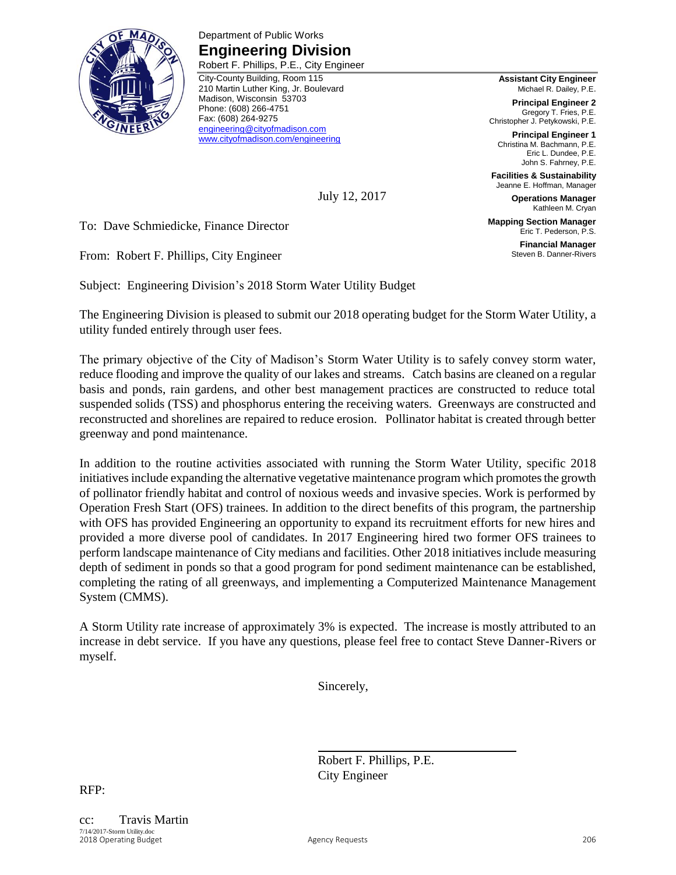

Department of Public Works **Engineering Division** Robert F. Phillips, P.E., City Engineer

City-County Building, Room 115 210 Martin Luther King, Jr. Boulevard Madison, Wisconsin 53703 Phone: (608) 266-4751 Fax: (608) 264-9275 [engineering@cityofmadison.com](mailto:engineering@cityofmadison.com) [www.cityofmadison.com/engineering](http://www.cityofmadison.com/engineering)

**Assistant City Engineer** Michael R. Dailey, P.E.

**Principal Engineer 2** Gregory T. Fries, P.E. Christopher J. Petykowski, P.E.

**Principal Engineer 1** Christina M. Bachmann, P.E. Eric L. Dundee, P.E. John S. Fahrney, P.E.

**Facilities & Sustainability** Jeanne E. Hoffman, Manager

**Operations Manager** Kathleen M. Cryan

**Mapping Section Manager** Eric T. Pederson, P.S.

> **Financial Manager** Steven B. Danner-Rivers

July 12, 2017

To: Dave Schmiedicke, Finance Director

From: Robert F. Phillips, City Engineer

Subject: Engineering Division's 2018 Storm Water Utility Budget

The Engineering Division is pleased to submit our 2018 operating budget for the Storm Water Utility, a utility funded entirely through user fees.

The primary objective of the City of Madison's Storm Water Utility is to safely convey storm water, reduce flooding and improve the quality of our lakes and streams. Catch basins are cleaned on a regular basis and ponds, rain gardens, and other best management practices are constructed to reduce total suspended solids (TSS) and phosphorus entering the receiving waters. Greenways are constructed and reconstructed and shorelines are repaired to reduce erosion. Pollinator habitat is created through better greenway and pond maintenance.

In addition to the routine activities associated with running the Storm Water Utility, specific 2018 initiatives include expanding the alternative vegetative maintenance program which promotes the growth of pollinator friendly habitat and control of noxious weeds and invasive species. Work is performed by Operation Fresh Start (OFS) trainees. In addition to the direct benefits of this program, the partnership with OFS has provided Engineering an opportunity to expand its recruitment efforts for new hires and provided a more diverse pool of candidates. In 2017 Engineering hired two former OFS trainees to perform landscape maintenance of City medians and facilities. Other 2018 initiatives include measuring depth of sediment in ponds so that a good program for pond sediment maintenance can be established, completing the rating of all greenways, and implementing a Computerized Maintenance Management System (CMMS).

A Storm Utility rate increase of approximately 3% is expected. The increase is mostly attributed to an increase in debt service. If you have any questions, please feel free to contact Steve Danner-Rivers or myself.

Sincerely,

Robert F. Phillips, P.E. City Engineer

RFP: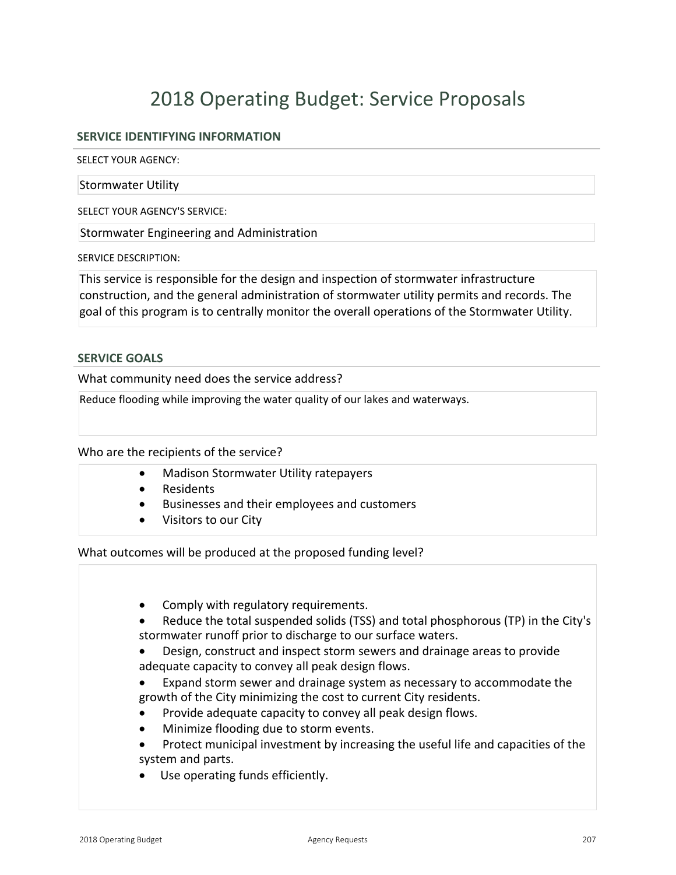# 2018 Operating Budget: Service Proposals

# **SERVICE IDENTIFYING INFORMATION**

SELECT YOUR AGENCY:

Stormwater Utility

SELECT YOUR AGENCY'S SERVICE:

Stormwater Engineering and Administration

SERVICE DESCRIPTION:

This service is responsible for the design and inspection of stormwater infrastructure construction, and the general administration of stormwater utility permits and records. The goal of this program is to centrally monitor the overall operations of the Stormwater Utility.

### **SERVICE GOALS**

What community need does the service address?

Reduce flooding while improving the water quality of our lakes and waterways.

Who are the recipients of the service?

- Madison Stormwater Utility ratepayers
- Residents
- **•** Businesses and their employees and customers
- Visitors to our City

What outcomes will be produced at the proposed funding level?

• Comply with regulatory requirements. • Reduce the total suspended solids (TSS) and total phosphorous (TP) in the City's stormwater runoff prior to discharge to our surface waters. • Design, construct and inspect storm sewers and drainage areas to provide adequate capacity to convey all peak design flows. • Expand storm sewer and drainage system as necessary to accommodate the growth of the City minimizing the cost to current City residents. • Provide adequate capacity to convey all peak design flows. • Minimize flooding due to storm events. Protect municipal investment by increasing the useful life and capacities of the system and parts. Use operating funds efficiently.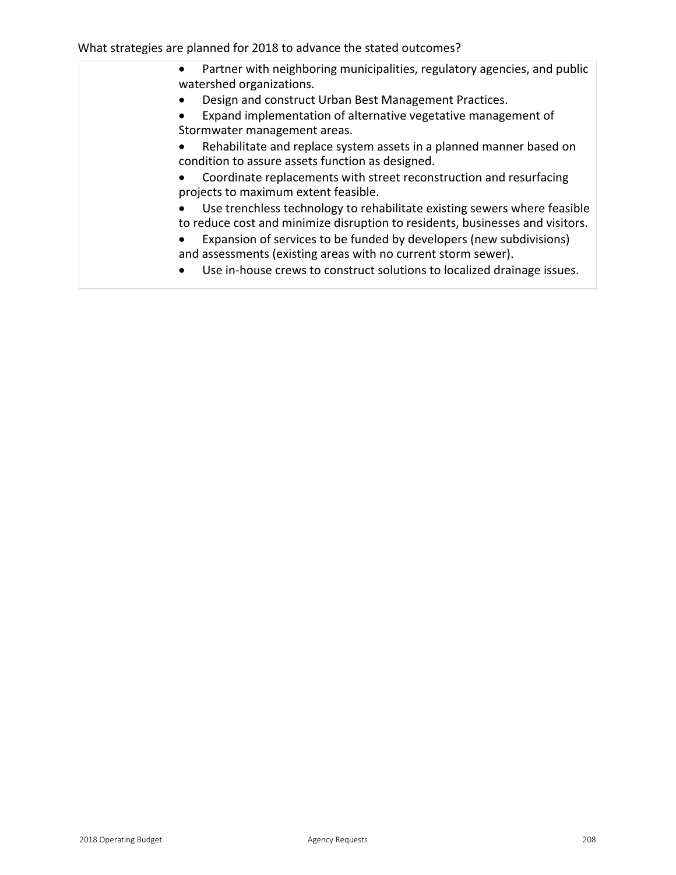What strategies are planned for 2018 to advance the stated outcomes?

| Partner with neighboring municipalities, regulatory agencies, and public<br>$\bullet$<br>watershed organizations.                                         |
|-----------------------------------------------------------------------------------------------------------------------------------------------------------|
| Design and construct Urban Best Management Practices.                                                                                                     |
| Expand implementation of alternative vegetative management of<br>Stormwater management areas.                                                             |
| Rehabilitate and replace system assets in a planned manner based on<br>condition to assure assets function as designed.                                   |
| Coordinate replacements with street reconstruction and resurfacing<br>projects to maximum extent feasible.                                                |
| Use trenchless technology to rehabilitate existing sewers where feasible<br>to reduce cost and minimize disruption to residents, businesses and visitors. |
| Expansion of services to be funded by developers (new subdivisions)<br>and assessments (existing areas with no current storm sewer).                      |
| Use in-house crews to construct solutions to localized drainage issues.                                                                                   |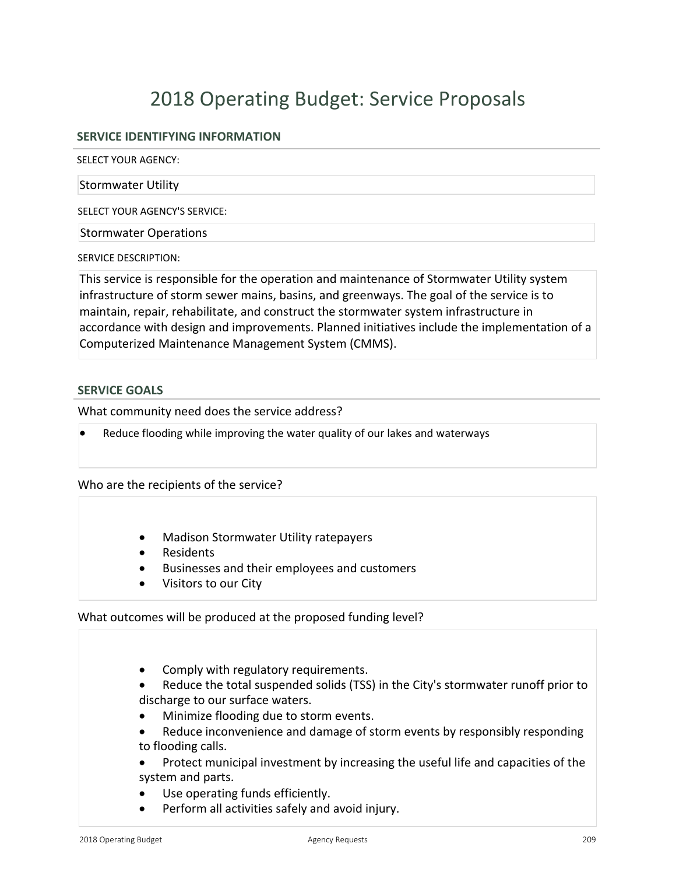# 2018 Operating Budget: Service Proposals

# **SERVICE IDENTIFYING INFORMATION**

SELECT YOUR AGENCY:

#### Stormwater Utility

SELECT YOUR AGENCY'S SERVICE:

Stormwater Operations

SERVICE DESCRIPTION:

This service is responsible for the operation and maintenance of Stormwater Utility system infrastructure of storm sewer mains, basins, and greenways. The goal of the service is to maintain, repair, rehabilitate, and construct the stormwater system infrastructure in accordance with design and improvements. Planned initiatives include the implementation of a Computerized Maintenance Management System (CMMS).

### **SERVICE GOALS**

What community need does the service address?

Reduce flooding while improving the water quality of our lakes and waterways

Who are the recipients of the service?

- Madison Stormwater Utility ratepayers
- Residents
- Businesses and their employees and customers
- Visitors to our City

What outcomes will be produced at the proposed funding level?

- Comply with regulatory requirements.
- x Reduce the total suspended solids (TSS) in the City's stormwater runoff prior to discharge to our surface waters.
- Minimize flooding due to storm events.
- Reduce inconvenience and damage of storm events by responsibly responding to flooding calls.
- Protect municipal investment by increasing the useful life and capacities of the system and parts.
- Use operating funds efficiently.
- **•** Perform all activities safely and avoid injury.